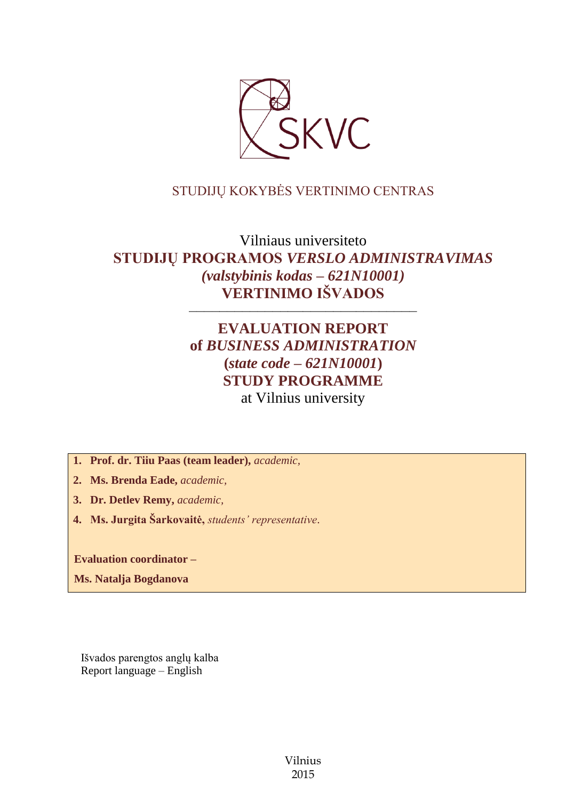

# STUDIJŲ KOKYBĖS VERTINIMO CENTRAS

Vilniaus universiteto **STUDIJŲ PROGRAMOS** *VERSLO ADMINISTRAVIMAS (valstybinis kodas – 621N10001)* **VERTINIMO IŠVADOS** 

––––––––––––––––––––––––––––––

# **EVALUATION REPORT of** *BUSINESS ADMINISTRATION* **(***state code – 621N10001***) STUDY PROGRAMME** at Vilnius university

**1. Prof. dr. Tiiu Paas (team leader),** *academic,*

**2. Ms. Brenda Eade,** *academic,*

**3. Dr. Detlev Remy,** *academic,*

**4. Ms. Jurgita Šarkovaitė,** *students' representative*.

**Evaluation coordinator –**

**Ms. Natalja Bogdanova**

Išvados parengtos anglų kalba Report language – English

> Vilnius 2015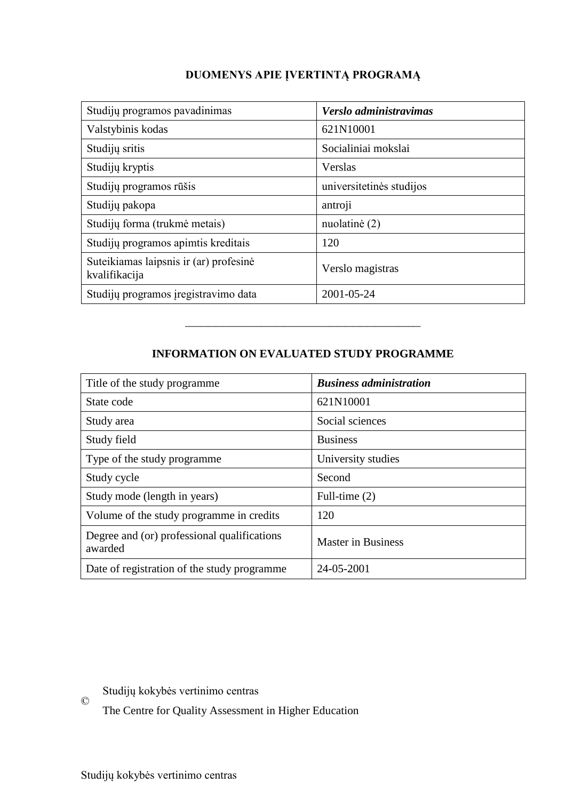# **DUOMENYS APIE ĮVERTINTĄ PROGRAMĄ**

| Studijų programos pavadinimas                           | Verslo administravimas   |
|---------------------------------------------------------|--------------------------|
| Valstybinis kodas                                       | 621N10001                |
| Studijų sritis                                          | Socialiniai mokslai      |
| Studijų kryptis                                         | Verslas                  |
| Studijų programos rūšis                                 | universitetinės studijos |
| Studijų pakopa                                          | antroji                  |
| Studijų forma (trukmė metais)                           | nuolatinė (2)            |
| Studijų programos apimtis kreditais                     | 120                      |
| Suteikiamas laipsnis ir (ar) profesinė<br>kvalifikacija | Verslo magistras         |
| Studijų programos įregistravimo data                    | 2001-05-24               |

# **INFORMATION ON EVALUATED STUDY PROGRAMME**

–––––––––––––––––––––––––––––––

| Title of the study programme                           | <b>Business administration</b> |
|--------------------------------------------------------|--------------------------------|
| State code                                             | 621N10001                      |
| Study area                                             | Social sciences                |
| Study field                                            | <b>Business</b>                |
| Type of the study programme.                           | University studies             |
| Study cycle                                            | Second                         |
| Study mode (length in years)                           | Full-time $(2)$                |
| Volume of the study programme in credits               | 120                            |
| Degree and (or) professional qualifications<br>awarded | <b>Master in Business</b>      |
| Date of registration of the study programme            | 24-05-2001                     |

 $\odot$ Studijų kokybės vertinimo centras

The Centre for Quality Assessment in Higher Education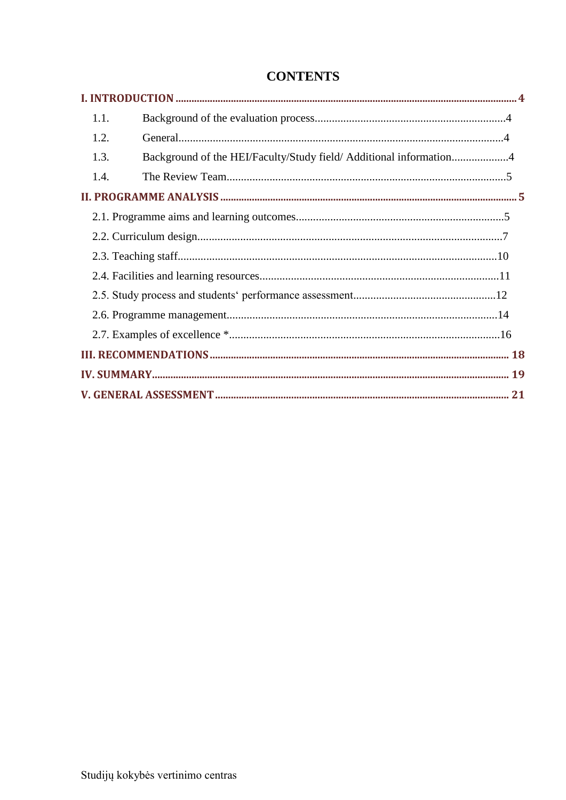| 1.1. |                                                                    |  |
|------|--------------------------------------------------------------------|--|
| 1.2. |                                                                    |  |
| 1.3. | Background of the HEI/Faculty/Study field/ Additional information4 |  |
| 1.4. |                                                                    |  |
|      |                                                                    |  |
|      |                                                                    |  |
|      |                                                                    |  |
|      |                                                                    |  |
|      |                                                                    |  |
|      |                                                                    |  |
|      |                                                                    |  |
|      |                                                                    |  |
|      |                                                                    |  |
|      |                                                                    |  |
|      |                                                                    |  |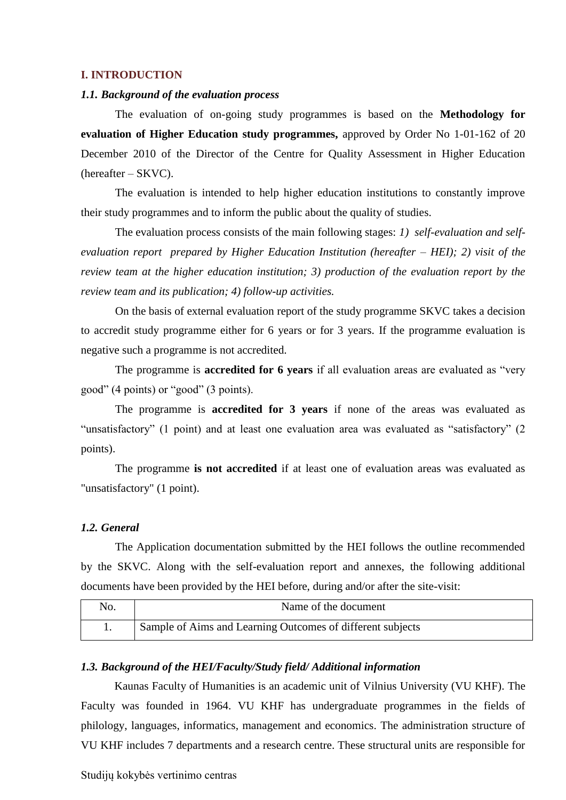#### <span id="page-3-0"></span>**I. INTRODUCTION**

### <span id="page-3-1"></span>*1.1. Background of the evaluation process*

The evaluation of on-going study programmes is based on the **Methodology for evaluation of Higher Education study programmes,** approved by Order No 1-01-162 of 20 December 2010 of the Director of the Centre for Quality Assessment in Higher Education (hereafter – SKVC).

The evaluation is intended to help higher education institutions to constantly improve their study programmes and to inform the public about the quality of studies.

The evaluation process consists of the main following stages: *1) self-evaluation and selfevaluation report prepared by Higher Education Institution (hereafter – HEI); 2) visit of the review team at the higher education institution; 3) production of the evaluation report by the review team and its publication; 4) follow-up activities.* 

On the basis of external evaluation report of the study programme SKVC takes a decision to accredit study programme either for 6 years or for 3 years. If the programme evaluation is negative such a programme is not accredited.

The programme is **accredited for 6 years** if all evaluation areas are evaluated as "very good" (4 points) or "good" (3 points).

The programme is **accredited for 3 years** if none of the areas was evaluated as "unsatisfactory" (1 point) and at least one evaluation area was evaluated as "satisfactory" (2 points).

The programme **is not accredited** if at least one of evaluation areas was evaluated as "unsatisfactory" (1 point).

### <span id="page-3-2"></span>*1.2. General*

The Application documentation submitted by the HEI follows the outline recommended by the SKVC. Along with the self-evaluation report and annexes, the following additional documents have been provided by the HEI before, during and/or after the site-visit:

| No. | Name of the document                                       |
|-----|------------------------------------------------------------|
|     | Sample of Aims and Learning Outcomes of different subjects |

#### <span id="page-3-3"></span>*1.3. Background of the HEI/Faculty/Study field/ Additional information*

Kaunas Faculty of Humanities is an academic unit of Vilnius University (VU KHF). The Faculty was founded in 1964. VU KHF has undergraduate programmes in the fields of philology, languages, informatics, management and economics. The administration structure of VU KHF includes 7 departments and a research centre. These structural units are responsible for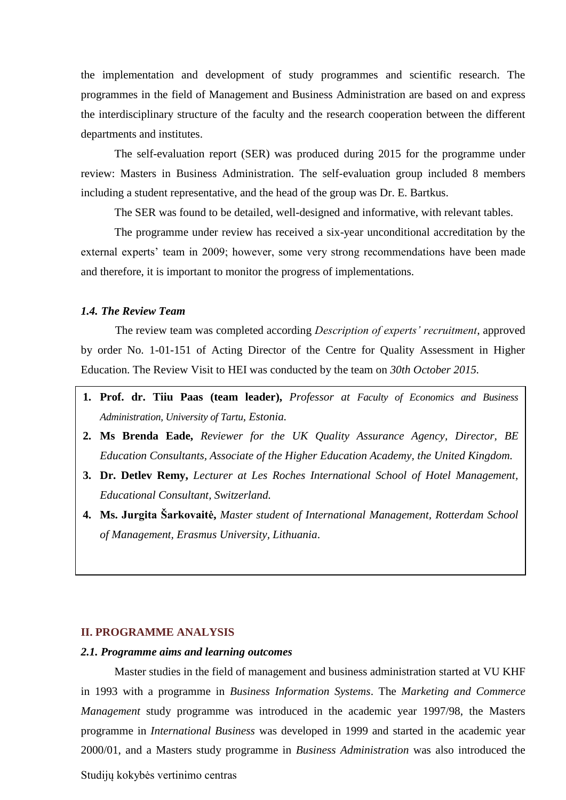the implementation and development of study programmes and scientific research. The programmes in the field of Management and Business Administration are based on and express the interdisciplinary structure of the faculty and the research cooperation between the different departments and institutes.

The self-evaluation report (SER) was produced during 2015 for the programme under review: Masters in Business Administration. The self-evaluation group included 8 members including a student representative, and the head of the group was Dr. E. Bartkus.

The SER was found to be detailed, well-designed and informative, with relevant tables.

The programme under review has received a six-year unconditional accreditation by the external experts' team in 2009; however, some very strong recommendations have been made and therefore, it is important to monitor the progress of implementations.

### <span id="page-4-0"></span>*1.4. The Review Team*

The review team was completed according *Description of experts' recruitment*, approved by order No. 1-01-151 of Acting Director of the Centre for Quality Assessment in Higher Education. The Review Visit to HEI was conducted by the team on *30th October 2015.*

- **1. Prof. dr. Tiiu Paas (team leader),** *Professor at Faculty of Economics and Business Administration, University of Tartu, Estonia.*
- **2. Ms Brenda Eade,** *Reviewer for the UK Quality Assurance Agency, Director, BE Education Consultants, Associate of the Higher Education Academy, the United Kingdom.*
- **3. Dr. Detlev Remy,** *Lecturer at Les Roches International School of Hotel Management, Educational Consultant, Switzerland.*
- **4. Ms. Jurgita Šarkovaitė,** *Master student of International Management, Rotterdam School of Management, Erasmus University, Lithuania*.

#### <span id="page-4-1"></span>**II. PROGRAMME ANALYSIS**

#### <span id="page-4-2"></span>*2.1. Programme aims and learning outcomes*

Master studies in the field of management and business administration started at VU KHF in 1993 with a programme in *Business Information Systems*. The *Marketing and Commerce Management* study programme was introduced in the academic year 1997/98, the Masters programme in *International Business* was developed in 1999 and started in the academic year 2000/01, and a Masters study programme in *Business Administration* was also introduced the

Studijų kokybės vertinimo centras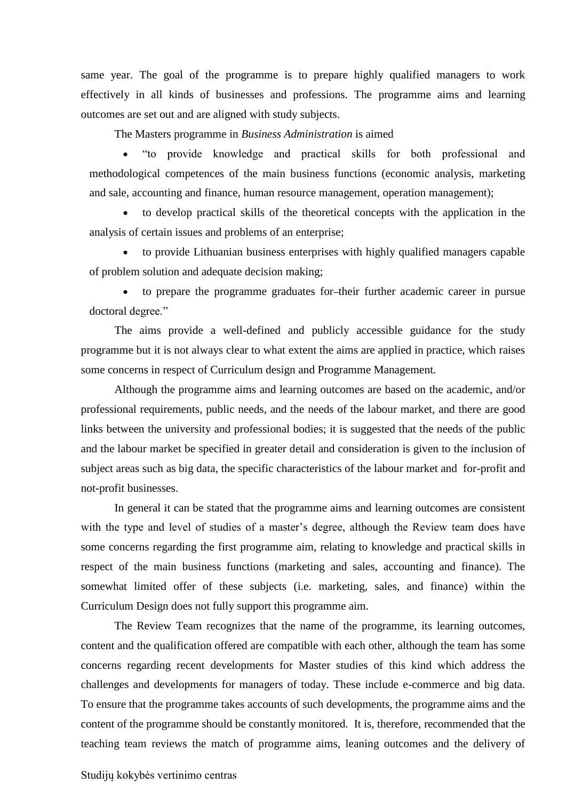same year. The goal of the programme is to prepare highly qualified managers to work effectively in all kinds of businesses and professions. The programme aims and learning outcomes are set out and are aligned with study subjects.

The Masters programme in *Business Administration* is aimed

 "to provide knowledge and practical skills for both professional and methodological competences of the main business functions (economic analysis, marketing and sale, accounting and finance, human resource management, operation management);

 to develop practical skills of the theoretical concepts with the application in the analysis of certain issues and problems of an enterprise;

 to provide Lithuanian business enterprises with highly qualified managers capable of problem solution and adequate decision making;

 to prepare the programme graduates for their further academic career in pursue doctoral degree."

The aims provide a well-defined and publicly accessible guidance for the study programme but it is not always clear to what extent the aims are applied in practice, which raises some concerns in respect of Curriculum design and Programme Management.

Although the programme aims and learning outcomes are based on the academic, and/or professional requirements, public needs, and the needs of the labour market, and there are good links between the university and professional bodies; it is suggested that the needs of the public and the labour market be specified in greater detail and consideration is given to the inclusion of subject areas such as big data, the specific characteristics of the labour market and for-profit and not-profit businesses.

In general it can be stated that the programme aims and learning outcomes are consistent with the type and level of studies of a master's degree, although the Review team does have some concerns regarding the first programme aim, relating to knowledge and practical skills in respect of the main business functions (marketing and sales, accounting and finance). The somewhat limited offer of these subjects (i.e. marketing, sales, and finance) within the Curriculum Design does not fully support this programme aim.

The Review Team recognizes that the name of the programme, its learning outcomes, content and the qualification offered are compatible with each other, although the team has some concerns regarding recent developments for Master studies of this kind which address the challenges and developments for managers of today. These include e-commerce and big data. To ensure that the programme takes accounts of such developments, the programme aims and the content of the programme should be constantly monitored. It is, therefore, recommended that the teaching team reviews the match of programme aims, leaning outcomes and the delivery of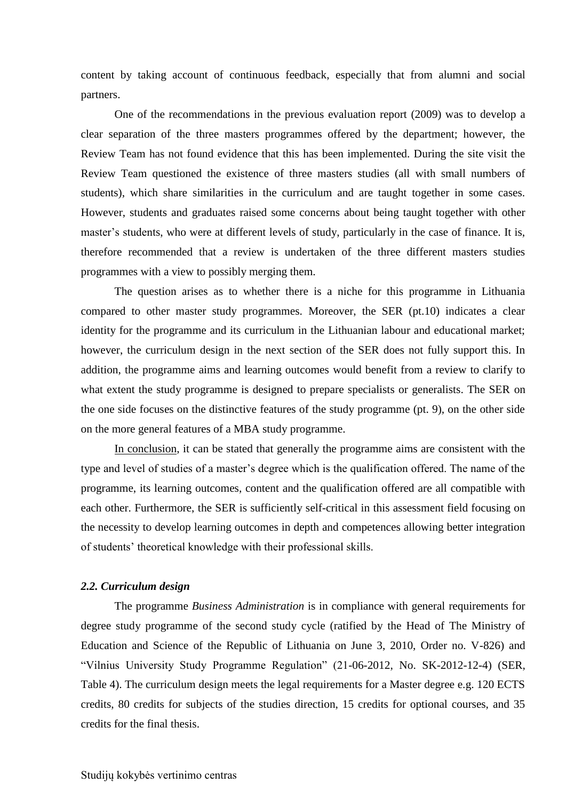content by taking account of continuous feedback, especially that from alumni and social partners.

One of the recommendations in the previous evaluation report (2009) was to develop a clear separation of the three masters programmes offered by the department; however, the Review Team has not found evidence that this has been implemented. During the site visit the Review Team questioned the existence of three masters studies (all with small numbers of students), which share similarities in the curriculum and are taught together in some cases. However, students and graduates raised some concerns about being taught together with other master's students, who were at different levels of study, particularly in the case of finance. It is, therefore recommended that a review is undertaken of the three different masters studies programmes with a view to possibly merging them.

The question arises as to whether there is a niche for this programme in Lithuania compared to other master study programmes. Moreover, the SER (pt.10) indicates a clear identity for the programme and its curriculum in the Lithuanian labour and educational market; however, the curriculum design in the next section of the SER does not fully support this. In addition, the programme aims and learning outcomes would benefit from a review to clarify to what extent the study programme is designed to prepare specialists or generalists. The SER on the one side focuses on the distinctive features of the study programme (pt. 9), on the other side on the more general features of a MBA study programme.

In conclusion, it can be stated that generally the programme aims are consistent with the type and level of studies of a master's degree which is the qualification offered. The name of the programme, its learning outcomes, content and the qualification offered are all compatible with each other. Furthermore, the SER is sufficiently self-critical in this assessment field focusing on the necessity to develop learning outcomes in depth and competences allowing better integration of students' theoretical knowledge with their professional skills.

## <span id="page-6-0"></span>*2.2. Curriculum design*

The programme *Business Administration* is in compliance with general requirements for degree study programme of the second study cycle (ratified by the Head of The Ministry of Education and Science of the Republic of Lithuania on June 3, 2010, Order no. V-826) and "Vilnius University Study Programme Regulation" (21-06-2012, No. SK-2012-12-4) (SER, Table 4). The curriculum design meets the legal requirements for a Master degree e.g. 120 ECTS credits, 80 credits for subjects of the studies direction, 15 credits for optional courses, and 35 credits for the final thesis.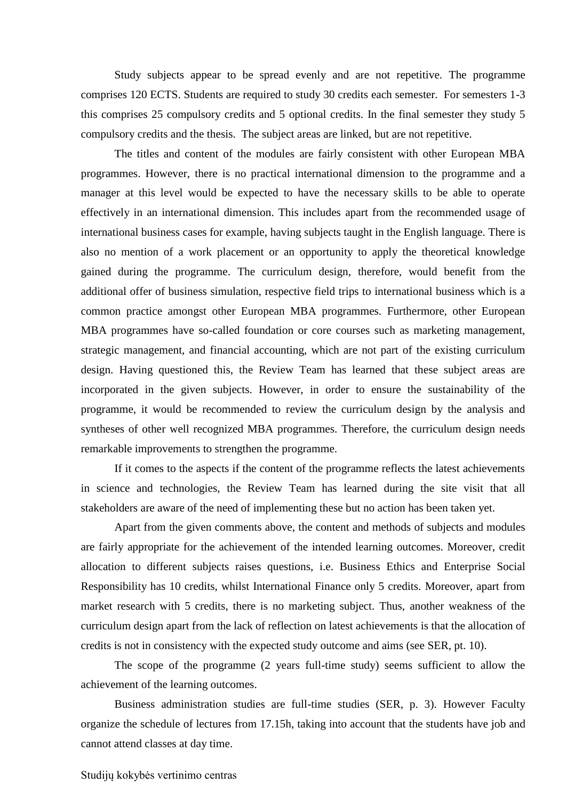Study subjects appear to be spread evenly and are not repetitive. The programme comprises 120 ECTS. Students are required to study 30 credits each semester. For semesters 1-3 this comprises 25 compulsory credits and 5 optional credits. In the final semester they study 5 compulsory credits and the thesis. The subject areas are linked, but are not repetitive.

The titles and content of the modules are fairly consistent with other European MBA programmes. However, there is no practical international dimension to the programme and a manager at this level would be expected to have the necessary skills to be able to operate effectively in an international dimension. This includes apart from the recommended usage of international business cases for example, having subjects taught in the English language. There is also no mention of a work placement or an opportunity to apply the theoretical knowledge gained during the programme. The curriculum design, therefore, would benefit from the additional offer of business simulation, respective field trips to international business which is a common practice amongst other European MBA programmes. Furthermore, other European MBA programmes have so-called foundation or core courses such as marketing management, strategic management, and financial accounting, which are not part of the existing curriculum design. Having questioned this, the Review Team has learned that these subject areas are incorporated in the given subjects. However, in order to ensure the sustainability of the programme, it would be recommended to review the curriculum design by the analysis and syntheses of other well recognized MBA programmes. Therefore, the curriculum design needs remarkable improvements to strengthen the programme.

If it comes to the aspects if the content of the programme reflects the latest achievements in science and technologies, the Review Team has learned during the site visit that all stakeholders are aware of the need of implementing these but no action has been taken yet.

Apart from the given comments above, the content and methods of subjects and modules are fairly appropriate for the achievement of the intended learning outcomes. Moreover, credit allocation to different subjects raises questions, i.e. Business Ethics and Enterprise Social Responsibility has 10 credits, whilst International Finance only 5 credits. Moreover, apart from market research with 5 credits, there is no marketing subject. Thus, another weakness of the curriculum design apart from the lack of reflection on latest achievements is that the allocation of credits is not in consistency with the expected study outcome and aims (see SER, pt. 10).

The scope of the programme (2 years full-time study) seems sufficient to allow the achievement of the learning outcomes.

Business administration studies are full-time studies (SER, p. 3). However Faculty organize the schedule of lectures from 17.15h, taking into account that the students have job and cannot attend classes at day time.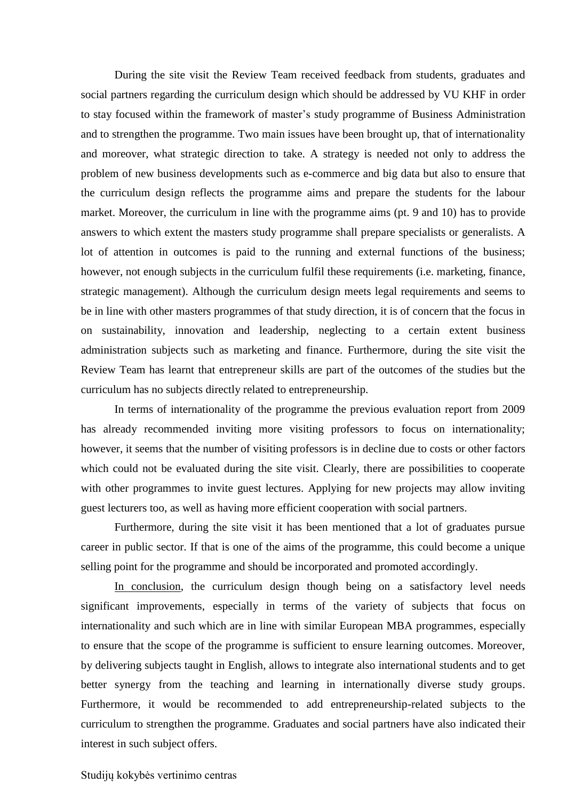During the site visit the Review Team received feedback from students, graduates and social partners regarding the curriculum design which should be addressed by VU KHF in order to stay focused within the framework of master's study programme of Business Administration and to strengthen the programme. Two main issues have been brought up, that of internationality and moreover, what strategic direction to take. A strategy is needed not only to address the problem of new business developments such as e-commerce and big data but also to ensure that the curriculum design reflects the programme aims and prepare the students for the labour market. Moreover, the curriculum in line with the programme aims (pt. 9 and 10) has to provide answers to which extent the masters study programme shall prepare specialists or generalists. A lot of attention in outcomes is paid to the running and external functions of the business; however, not enough subjects in the curriculum fulfil these requirements (i.e. marketing, finance, strategic management). Although the curriculum design meets legal requirements and seems to be in line with other masters programmes of that study direction, it is of concern that the focus in on sustainability, innovation and leadership, neglecting to a certain extent business administration subjects such as marketing and finance. Furthermore, during the site visit the Review Team has learnt that entrepreneur skills are part of the outcomes of the studies but the curriculum has no subjects directly related to entrepreneurship.

In terms of internationality of the programme the previous evaluation report from 2009 has already recommended inviting more visiting professors to focus on internationality; however, it seems that the number of visiting professors is in decline due to costs or other factors which could not be evaluated during the site visit. Clearly, there are possibilities to cooperate with other programmes to invite guest lectures. Applying for new projects may allow inviting guest lecturers too, as well as having more efficient cooperation with social partners.

Furthermore, during the site visit it has been mentioned that a lot of graduates pursue career in public sector. If that is one of the aims of the programme, this could become a unique selling point for the programme and should be incorporated and promoted accordingly.

In conclusion, the curriculum design though being on a satisfactory level needs significant improvements, especially in terms of the variety of subjects that focus on internationality and such which are in line with similar European MBA programmes, especially to ensure that the scope of the programme is sufficient to ensure learning outcomes. Moreover, by delivering subjects taught in English, allows to integrate also international students and to get better synergy from the teaching and learning in internationally diverse study groups. Furthermore, it would be recommended to add entrepreneurship-related subjects to the curriculum to strengthen the programme. Graduates and social partners have also indicated their interest in such subject offers.

#### Studijų kokybės vertinimo centras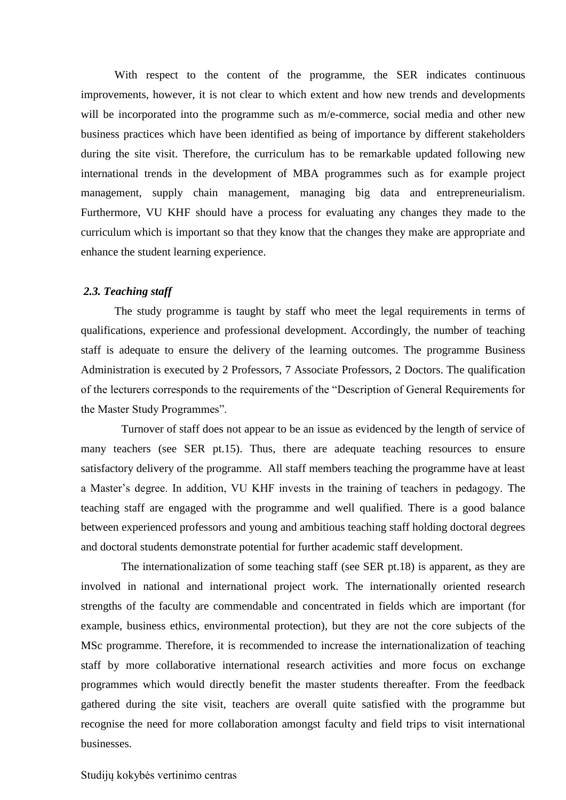With respect to the content of the programme, the SER indicates continuous improvements, however, it is not clear to which extent and how new trends and developments will be incorporated into the programme such as m/e-commerce, social media and other new business practices which have been identified as being of importance by different stakeholders during the site visit. Therefore, the curriculum has to be remarkable updated following new international trends in the development of MBA programmes such as for example project management, supply chain management, managing big data and entrepreneurialism. Furthermore, VU KHF should have a process for evaluating any changes they made to the curriculum which is important so that they know that the changes they make are appropriate and enhance the student learning experience.

#### <span id="page-9-0"></span>*2.3. Teaching staff*

The study programme is taught by staff who meet the legal requirements in terms of qualifications, experience and professional development. Accordingly, the number of teaching staff is adequate to ensure the delivery of the learning outcomes. The programme Business Administration is executed by 2 Professors, 7 Associate Professors, 2 Doctors. The qualification of the lecturers corresponds to the requirements of the "Description of General Requirements for the Master Study Programmes".

Turnover of staff does not appear to be an issue as evidenced by the length of service of many teachers (see SER pt.15). Thus, there are adequate teaching resources to ensure satisfactory delivery of the programme. All staff members teaching the programme have at least a Master's degree. In addition, VU KHF invests in the training of teachers in pedagogy. The teaching staff are engaged with the programme and well qualified. There is a good balance between experienced professors and young and ambitious teaching staff holding doctoral degrees and doctoral students demonstrate potential for further academic staff development.

The internationalization of some teaching staff (see SER pt.18) is apparent, as they are involved in national and international project work. The internationally oriented research strengths of the faculty are commendable and concentrated in fields which are important (for example, business ethics, environmental protection), but they are not the core subjects of the MSc programme. Therefore, it is recommended to increase the internationalization of teaching staff by more collaborative international research activities and more focus on exchange programmes which would directly benefit the master students thereafter. From the feedback gathered during the site visit, teachers are overall quite satisfied with the programme but recognise the need for more collaboration amongst faculty and field trips to visit international businesses.

#### Studijų kokybės vertinimo centras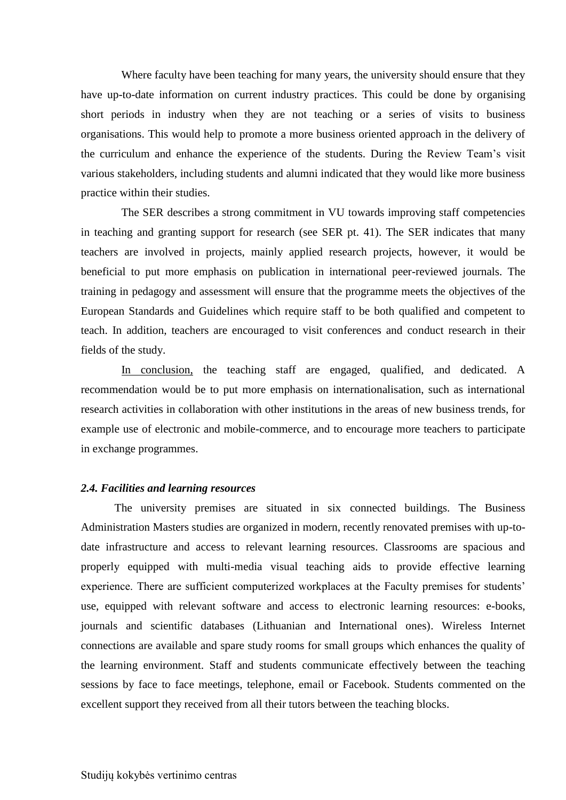Where faculty have been teaching for many years, the university should ensure that they have up-to-date information on current industry practices. This could be done by organising short periods in industry when they are not teaching or a series of visits to business organisations. This would help to promote a more business oriented approach in the delivery of the curriculum and enhance the experience of the students. During the Review Team's visit various stakeholders, including students and alumni indicated that they would like more business practice within their studies.

The SER describes a strong commitment in VU towards improving staff competencies in teaching and granting support for research (see SER pt. 41). The SER indicates that many teachers are involved in projects, mainly applied research projects, however, it would be beneficial to put more emphasis on publication in international peer-reviewed journals. The training in pedagogy and assessment will ensure that the programme meets the objectives of the European Standards and Guidelines which require staff to be both qualified and competent to teach. In addition, teachers are encouraged to visit conferences and conduct research in their fields of the study.

In conclusion, the teaching staff are engaged, qualified, and dedicated. A recommendation would be to put more emphasis on internationalisation, such as international research activities in collaboration with other institutions in the areas of new business trends, for example use of electronic and mobile-commerce, and to encourage more teachers to participate in exchange programmes.

#### <span id="page-10-0"></span>*2.4. Facilities and learning resources*

The university premises are situated in six connected buildings. The Business Administration Masters studies are organized in modern, recently renovated premises with up-todate infrastructure and access to relevant learning resources. Classrooms are spacious and properly equipped with multi-media visual teaching aids to provide effective learning experience. There are sufficient computerized workplaces at the Faculty premises for students' use, equipped with relevant software and access to electronic learning resources: e-books, journals and scientific databases (Lithuanian and International ones). Wireless Internet connections are available and spare study rooms for small groups which enhances the quality of the learning environment. Staff and students communicate effectively between the teaching sessions by face to face meetings, telephone, email or Facebook. Students commented on the excellent support they received from all their tutors between the teaching blocks.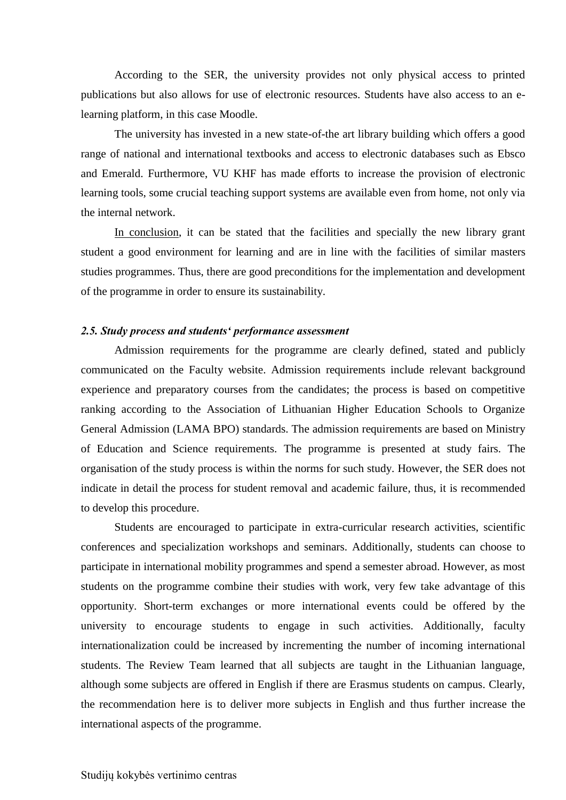According to the SER, the university provides not only physical access to printed publications but also allows for use of electronic resources. Students have also access to an elearning platform, in this case Moodle.

The university has invested in a new state-of-the art library building which offers a good range of national and international textbooks and access to electronic databases such as Ebsco and Emerald. Furthermore, VU KHF has made efforts to increase the provision of electronic learning tools, some crucial teaching support systems are available even from home, not only via the internal network.

In conclusion, it can be stated that the facilities and specially the new library grant student a good environment for learning and are in line with the facilities of similar masters studies programmes. Thus, there are good preconditions for the implementation and development of the programme in order to ensure its sustainability.

### <span id="page-11-0"></span>*2.5. Study process and students' performance assessment*

Admission requirements for the programme are clearly defined, stated and publicly communicated on the Faculty website. Admission requirements include relevant background experience and preparatory courses from the candidates; the process is based on competitive ranking according to the Association of Lithuanian Higher Education Schools to Organize General Admission (LAMA BPO) standards. The admission requirements are based on Ministry of Education and Science requirements. The programme is presented at study fairs. The organisation of the study process is within the norms for such study. However, the SER does not indicate in detail the process for student removal and academic failure, thus, it is recommended to develop this procedure.

Students are encouraged to participate in extra-curricular research activities, scientific conferences and specialization workshops and seminars. Additionally, students can choose to participate in international mobility programmes and spend a semester abroad. However, as most students on the programme combine their studies with work, very few take advantage of this opportunity. Short-term exchanges or more international events could be offered by the university to encourage students to engage in such activities. Additionally, faculty internationalization could be increased by incrementing the number of incoming international students. The Review Team learned that all subjects are taught in the Lithuanian language, although some subjects are offered in English if there are Erasmus students on campus. Clearly, the recommendation here is to deliver more subjects in English and thus further increase the international aspects of the programme.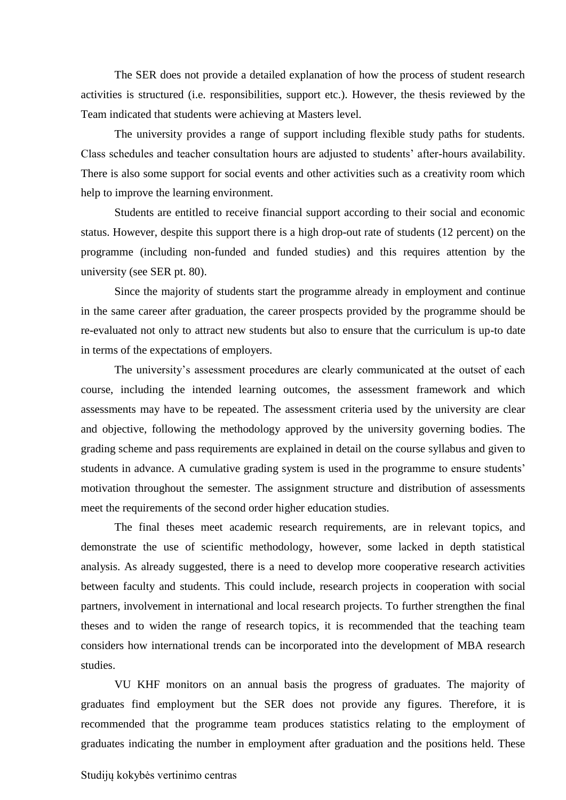The SER does not provide a detailed explanation of how the process of student research activities is structured (i.e. responsibilities, support etc.). However, the thesis reviewed by the Team indicated that students were achieving at Masters level.

The university provides a range of support including flexible study paths for students. Class schedules and teacher consultation hours are adjusted to students' after-hours availability. There is also some support for social events and other activities such as a creativity room which help to improve the learning environment.

Students are entitled to receive financial support according to their social and economic status. However, despite this support there is a high drop-out rate of students (12 percent) on the programme (including non-funded and funded studies) and this requires attention by the university (see SER pt. 80).

Since the majority of students start the programme already in employment and continue in the same career after graduation, the career prospects provided by the programme should be re-evaluated not only to attract new students but also to ensure that the curriculum is up-to date in terms of the expectations of employers.

The university's assessment procedures are clearly communicated at the outset of each course, including the intended learning outcomes, the assessment framework and which assessments may have to be repeated. The assessment criteria used by the university are clear and objective, following the methodology approved by the university governing bodies. The grading scheme and pass requirements are explained in detail on the course syllabus and given to students in advance. A cumulative grading system is used in the programme to ensure students' motivation throughout the semester. The assignment structure and distribution of assessments meet the requirements of the second order higher education studies.

The final theses meet academic research requirements, are in relevant topics, and demonstrate the use of scientific methodology, however, some lacked in depth statistical analysis. As already suggested, there is a need to develop more cooperative research activities between faculty and students. This could include, research projects in cooperation with social partners, involvement in international and local research projects. To further strengthen the final theses and to widen the range of research topics, it is recommended that the teaching team considers how international trends can be incorporated into the development of MBA research studies.

VU KHF monitors on an annual basis the progress of graduates. The majority of graduates find employment but the SER does not provide any figures. Therefore, it is recommended that the programme team produces statistics relating to the employment of graduates indicating the number in employment after graduation and the positions held. These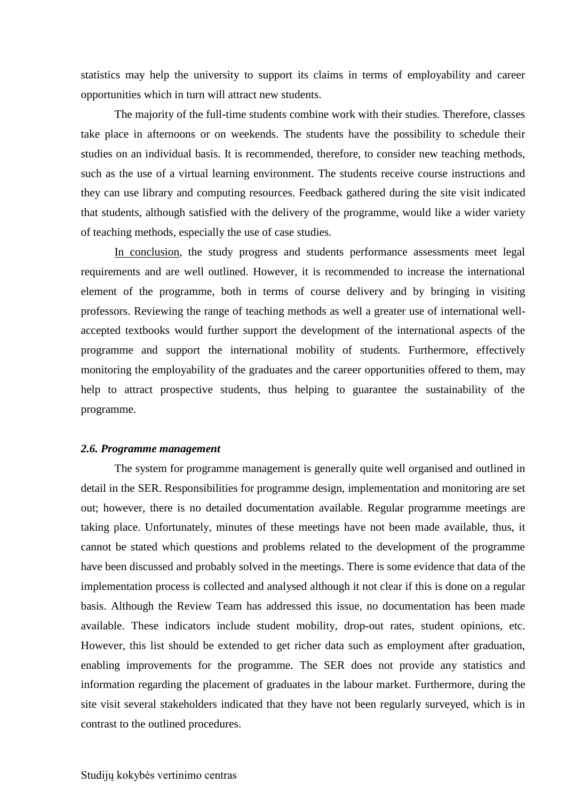statistics may help the university to support its claims in terms of employability and career opportunities which in turn will attract new students.

The majority of the full-time students combine work with their studies. Therefore, classes take place in afternoons or on weekends. The students have the possibility to schedule their studies on an individual basis. It is recommended, therefore, to consider new teaching methods, such as the use of a virtual learning environment. The students receive course instructions and they can use library and computing resources. Feedback gathered during the site visit indicated that students, although satisfied with the delivery of the programme, would like a wider variety of teaching methods, especially the use of case studies.

In conclusion, the study progress and students performance assessments meet legal requirements and are well outlined. However, it is recommended to increase the international element of the programme, both in terms of course delivery and by bringing in visiting professors. Reviewing the range of teaching methods as well a greater use of international wellaccepted textbooks would further support the development of the international aspects of the programme and support the international mobility of students. Furthermore, effectively monitoring the employability of the graduates and the career opportunities offered to them, may help to attract prospective students, thus helping to guarantee the sustainability of the programme.

#### <span id="page-13-0"></span>*2.6. Programme management*

The system for programme management is generally quite well organised and outlined in detail in the SER. Responsibilities for programme design, implementation and monitoring are set out; however, there is no detailed documentation available. Regular programme meetings are taking place. Unfortunately, minutes of these meetings have not been made available, thus, it cannot be stated which questions and problems related to the development of the programme have been discussed and probably solved in the meetings. There is some evidence that data of the implementation process is collected and analysed although it not clear if this is done on a regular basis. Although the Review Team has addressed this issue, no documentation has been made available. These indicators include student mobility, drop-out rates, student opinions, etc. However, this list should be extended to get richer data such as employment after graduation, enabling improvements for the programme. The SER does not provide any statistics and information regarding the placement of graduates in the labour market. Furthermore, during the site visit several stakeholders indicated that they have not been regularly surveyed, which is in contrast to the outlined procedures.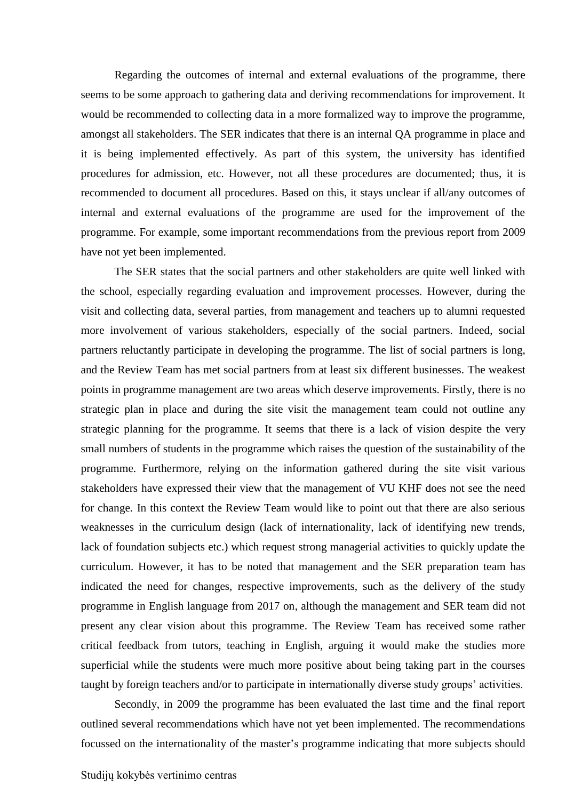Regarding the outcomes of internal and external evaluations of the programme, there seems to be some approach to gathering data and deriving recommendations for improvement. It would be recommended to collecting data in a more formalized way to improve the programme, amongst all stakeholders. The SER indicates that there is an internal QA programme in place and it is being implemented effectively. As part of this system, the university has identified procedures for admission, etc. However, not all these procedures are documented; thus, it is recommended to document all procedures. Based on this, it stays unclear if all/any outcomes of internal and external evaluations of the programme are used for the improvement of the programme. For example, some important recommendations from the previous report from 2009 have not yet been implemented.

The SER states that the social partners and other stakeholders are quite well linked with the school, especially regarding evaluation and improvement processes. However, during the visit and collecting data, several parties, from management and teachers up to alumni requested more involvement of various stakeholders, especially of the social partners. Indeed, social partners reluctantly participate in developing the programme. The list of social partners is long, and the Review Team has met social partners from at least six different businesses. The weakest points in programme management are two areas which deserve improvements. Firstly, there is no strategic plan in place and during the site visit the management team could not outline any strategic planning for the programme. It seems that there is a lack of vision despite the very small numbers of students in the programme which raises the question of the sustainability of the programme. Furthermore, relying on the information gathered during the site visit various stakeholders have expressed their view that the management of VU KHF does not see the need for change. In this context the Review Team would like to point out that there are also serious weaknesses in the curriculum design (lack of internationality, lack of identifying new trends, lack of foundation subjects etc.) which request strong managerial activities to quickly update the curriculum. However, it has to be noted that management and the SER preparation team has indicated the need for changes, respective improvements, such as the delivery of the study programme in English language from 2017 on, although the management and SER team did not present any clear vision about this programme. The Review Team has received some rather critical feedback from tutors, teaching in English, arguing it would make the studies more superficial while the students were much more positive about being taking part in the courses taught by foreign teachers and/or to participate in internationally diverse study groups' activities.

Secondly, in 2009 the programme has been evaluated the last time and the final report outlined several recommendations which have not yet been implemented. The recommendations focussed on the internationality of the master's programme indicating that more subjects should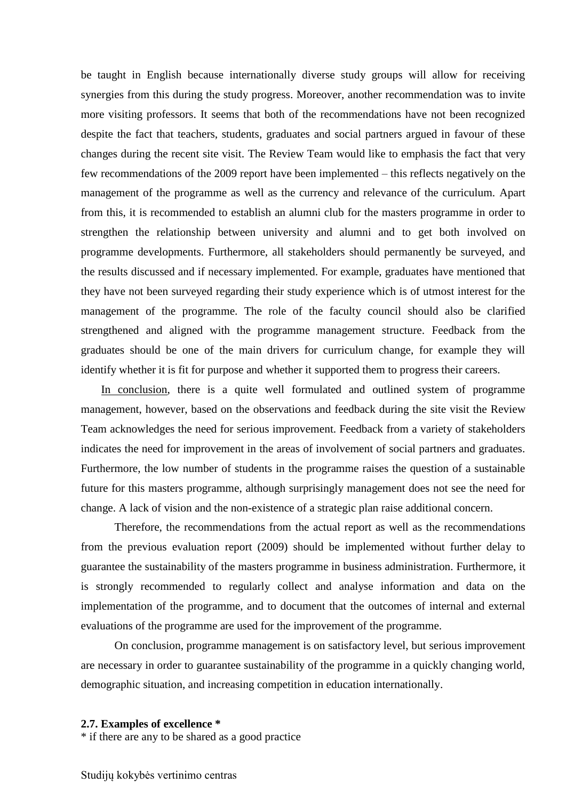be taught in English because internationally diverse study groups will allow for receiving synergies from this during the study progress. Moreover, another recommendation was to invite more visiting professors. It seems that both of the recommendations have not been recognized despite the fact that teachers, students, graduates and social partners argued in favour of these changes during the recent site visit. The Review Team would like to emphasis the fact that very few recommendations of the 2009 report have been implemented – this reflects negatively on the management of the programme as well as the currency and relevance of the curriculum. Apart from this, it is recommended to establish an alumni club for the masters programme in order to strengthen the relationship between university and alumni and to get both involved on programme developments. Furthermore, all stakeholders should permanently be surveyed, and the results discussed and if necessary implemented. For example, graduates have mentioned that they have not been surveyed regarding their study experience which is of utmost interest for the management of the programme. The role of the faculty council should also be clarified strengthened and aligned with the programme management structure. Feedback from the graduates should be one of the main drivers for curriculum change, for example they will identify whether it is fit for purpose and whether it supported them to progress their careers.

In conclusion, there is a quite well formulated and outlined system of programme management, however, based on the observations and feedback during the site visit the Review Team acknowledges the need for serious improvement. Feedback from a variety of stakeholders indicates the need for improvement in the areas of involvement of social partners and graduates. Furthermore, the low number of students in the programme raises the question of a sustainable future for this masters programme, although surprisingly management does not see the need for change. A lack of vision and the non-existence of a strategic plan raise additional concern.

Therefore, the recommendations from the actual report as well as the recommendations from the previous evaluation report (2009) should be implemented without further delay to guarantee the sustainability of the masters programme in business administration. Furthermore, it is strongly recommended to regularly collect and analyse information and data on the implementation of the programme, and to document that the outcomes of internal and external evaluations of the programme are used for the improvement of the programme.

On conclusion, programme management is on satisfactory level, but serious improvement are necessary in order to guarantee sustainability of the programme in a quickly changing world, demographic situation, and increasing competition in education internationally.

#### <span id="page-15-0"></span>**2.7. Examples of excellence \***

\* if there are any to be shared as a good practice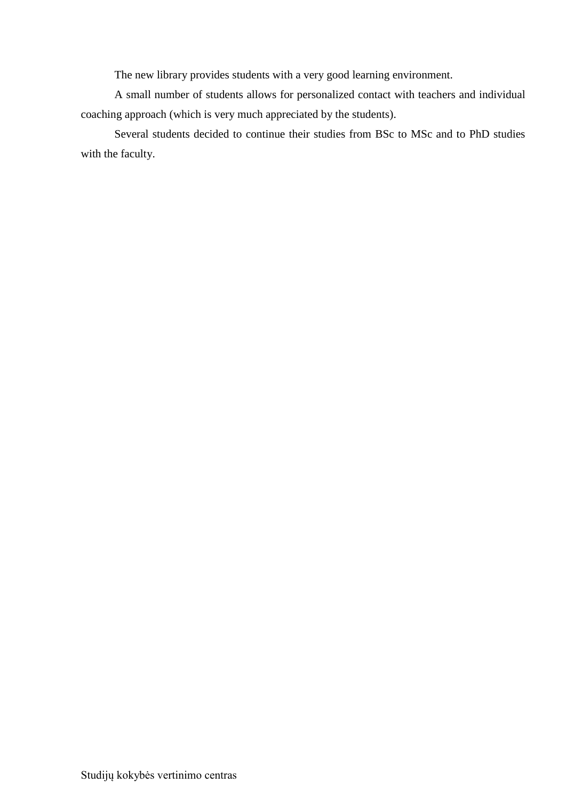The new library provides students with a very good learning environment.

A small number of students allows for personalized contact with teachers and individual coaching approach (which is very much appreciated by the students).

Several students decided to continue their studies from BSc to MSc and to PhD studies with the faculty.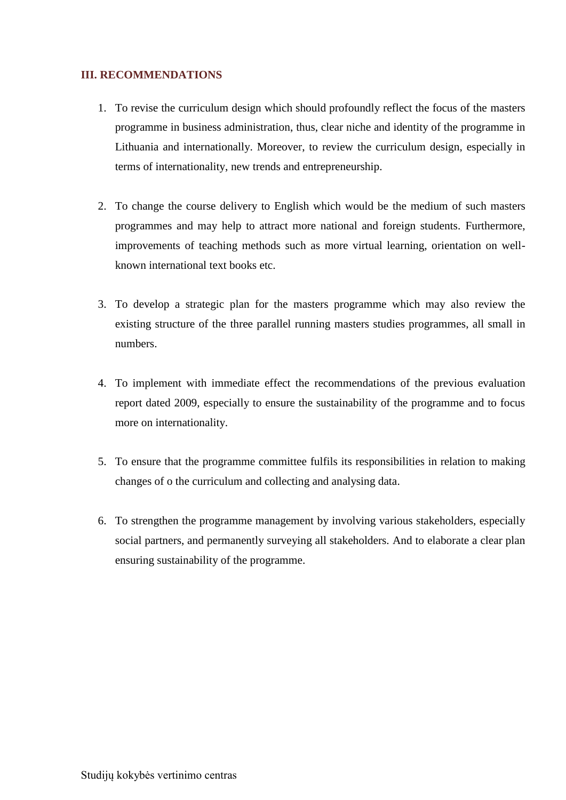# <span id="page-17-0"></span>**III. RECOMMENDATIONS**

- 1. To revise the curriculum design which should profoundly reflect the focus of the masters programme in business administration, thus, clear niche and identity of the programme in Lithuania and internationally. Moreover, to review the curriculum design, especially in terms of internationality, new trends and entrepreneurship.
- 2. To change the course delivery to English which would be the medium of such masters programmes and may help to attract more national and foreign students. Furthermore, improvements of teaching methods such as more virtual learning, orientation on wellknown international text books etc.
- 3. To develop a strategic plan for the masters programme which may also review the existing structure of the three parallel running masters studies programmes, all small in numbers.
- 4. To implement with immediate effect the recommendations of the previous evaluation report dated 2009, especially to ensure the sustainability of the programme and to focus more on internationality.
- 5. To ensure that the programme committee fulfils its responsibilities in relation to making changes of o the curriculum and collecting and analysing data.
- 6. To strengthen the programme management by involving various stakeholders, especially social partners, and permanently surveying all stakeholders. And to elaborate a clear plan ensuring sustainability of the programme.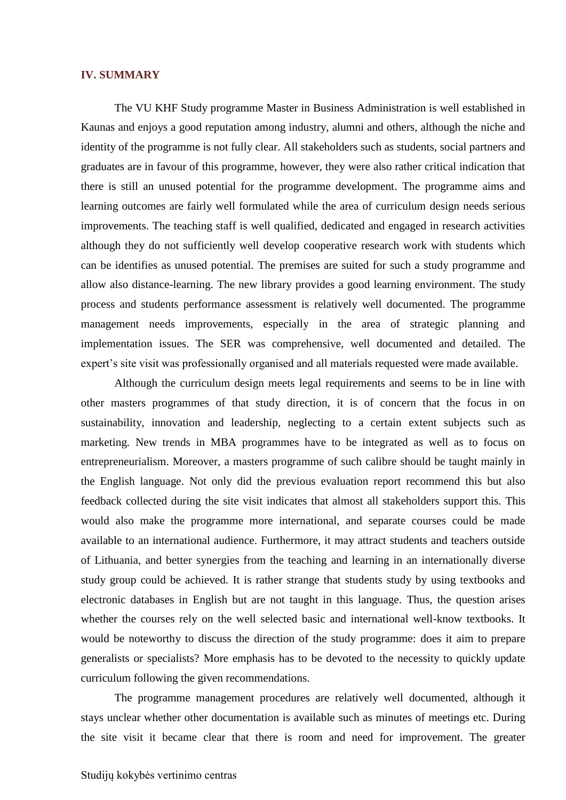#### <span id="page-18-0"></span>**IV. SUMMARY**

The VU KHF Study programme Master in Business Administration is well established in Kaunas and enjoys a good reputation among industry, alumni and others, although the niche and identity of the programme is not fully clear. All stakeholders such as students, social partners and graduates are in favour of this programme, however, they were also rather critical indication that there is still an unused potential for the programme development. The programme aims and learning outcomes are fairly well formulated while the area of curriculum design needs serious improvements. The teaching staff is well qualified, dedicated and engaged in research activities although they do not sufficiently well develop cooperative research work with students which can be identifies as unused potential. The premises are suited for such a study programme and allow also distance-learning. The new library provides a good learning environment. The study process and students performance assessment is relatively well documented. The programme management needs improvements, especially in the area of strategic planning and implementation issues. The SER was comprehensive, well documented and detailed. The expert's site visit was professionally organised and all materials requested were made available.

Although the curriculum design meets legal requirements and seems to be in line with other masters programmes of that study direction, it is of concern that the focus in on sustainability, innovation and leadership, neglecting to a certain extent subjects such as marketing. New trends in MBA programmes have to be integrated as well as to focus on entrepreneurialism. Moreover, a masters programme of such calibre should be taught mainly in the English language. Not only did the previous evaluation report recommend this but also feedback collected during the site visit indicates that almost all stakeholders support this. This would also make the programme more international, and separate courses could be made available to an international audience. Furthermore, it may attract students and teachers outside of Lithuania, and better synergies from the teaching and learning in an internationally diverse study group could be achieved. It is rather strange that students study by using textbooks and electronic databases in English but are not taught in this language. Thus, the question arises whether the courses rely on the well selected basic and international well-know textbooks. It would be noteworthy to discuss the direction of the study programme: does it aim to prepare generalists or specialists? More emphasis has to be devoted to the necessity to quickly update curriculum following the given recommendations.

The programme management procedures are relatively well documented, although it stays unclear whether other documentation is available such as minutes of meetings etc. During the site visit it became clear that there is room and need for improvement. The greater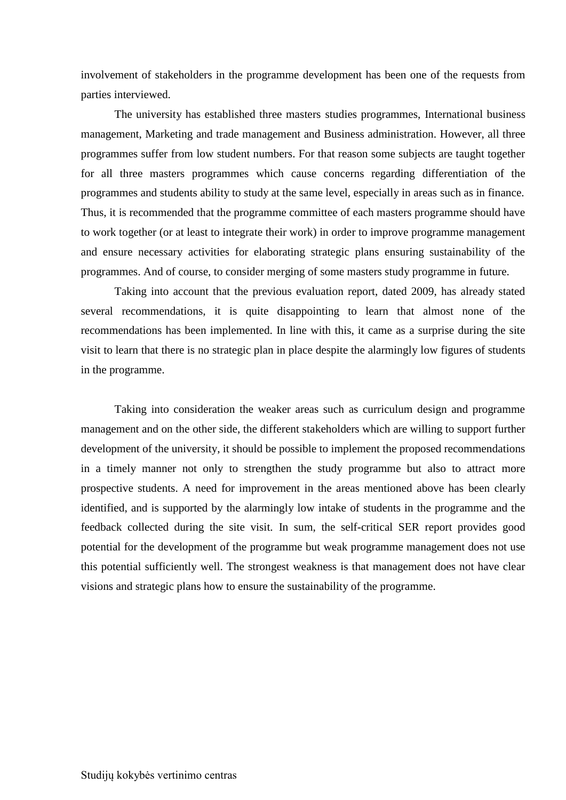involvement of stakeholders in the programme development has been one of the requests from parties interviewed.

The university has established three masters studies programmes, International business management, Marketing and trade management and Business administration. However, all three programmes suffer from low student numbers. For that reason some subjects are taught together for all three masters programmes which cause concerns regarding differentiation of the programmes and students ability to study at the same level, especially in areas such as in finance. Thus, it is recommended that the programme committee of each masters programme should have to work together (or at least to integrate their work) in order to improve programme management and ensure necessary activities for elaborating strategic plans ensuring sustainability of the programmes. And of course, to consider merging of some masters study programme in future.

Taking into account that the previous evaluation report, dated 2009, has already stated several recommendations, it is quite disappointing to learn that almost none of the recommendations has been implemented. In line with this, it came as a surprise during the site visit to learn that there is no strategic plan in place despite the alarmingly low figures of students in the programme.

Taking into consideration the weaker areas such as curriculum design and programme management and on the other side, the different stakeholders which are willing to support further development of the university, it should be possible to implement the proposed recommendations in a timely manner not only to strengthen the study programme but also to attract more prospective students. A need for improvement in the areas mentioned above has been clearly identified, and is supported by the alarmingly low intake of students in the programme and the feedback collected during the site visit. In sum, the self-critical SER report provides good potential for the development of the programme but weak programme management does not use this potential sufficiently well. The strongest weakness is that management does not have clear visions and strategic plans how to ensure the sustainability of the programme.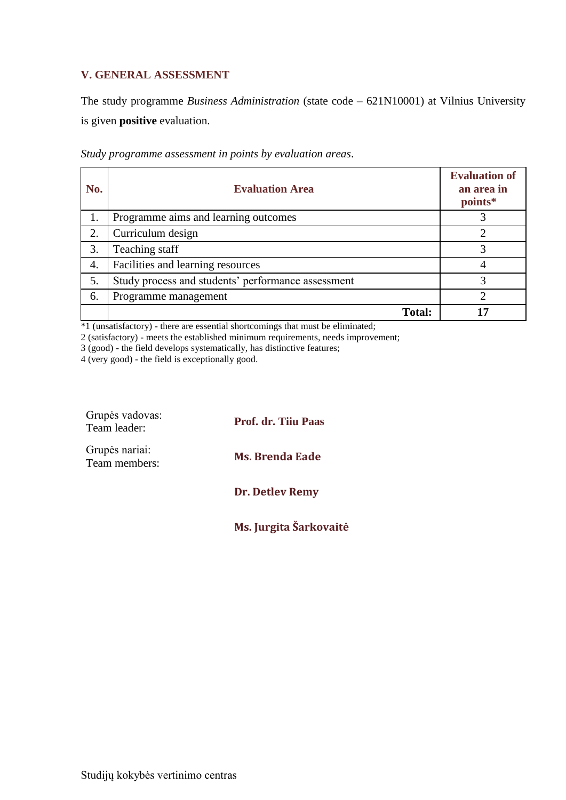# <span id="page-20-0"></span>**V. GENERAL ASSESSMENT**

The study programme *Business Administration* (state code – 621N10001) at Vilnius University is given **positive** evaluation.

| No. | <b>Evaluation Area</b>                             | <b>Evaluation of</b><br>an area in<br>points* |
|-----|----------------------------------------------------|-----------------------------------------------|
| 1.  | Programme aims and learning outcomes               |                                               |
| 2.  | Curriculum design                                  |                                               |
| 3.  | Teaching staff                                     |                                               |
| 4.  | Facilities and learning resources                  |                                               |
| 5.  | Study process and students' performance assessment | 3                                             |
| 6.  | Programme management                               | ◠                                             |
|     | <b>Total:</b>                                      |                                               |

*Study programme assessment in points by evaluation areas*.

\*1 (unsatisfactory) - there are essential shortcomings that must be eliminated;

2 (satisfactory) - meets the established minimum requirements, needs improvement;

3 (good) - the field develops systematically, has distinctive features;

4 (very good) - the field is exceptionally good.

| Grupės vadovas:<br>Team leader: | <b>Prof. dr. Tiju Paas</b> |
|---------------------------------|----------------------------|
| Grupės nariai:<br>Team members: | <b>Ms. Brenda Eade</b>     |
|                                 | Dr. Detlev Remy            |

**Ms. Jurgita Šarkovaitė**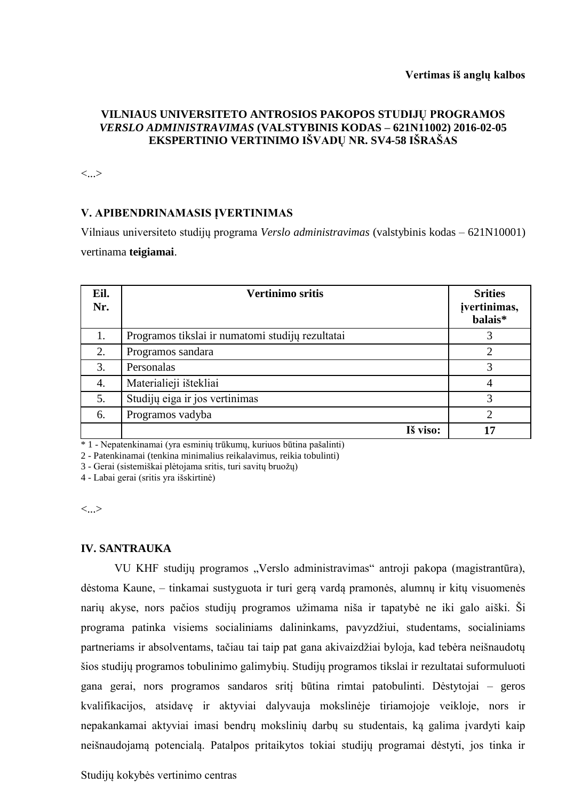# **VILNIAUS UNIVERSITETO ANTROSIOS PAKOPOS STUDIJŲ PROGRAMOS**  *VERSLO ADMINISTRAVIMAS* **(VALSTYBINIS KODAS – 621N11002) 2016-02-05 EKSPERTINIO VERTINIMO IŠVADŲ NR. SV4-58 IŠRAŠAS**

<...>

# **V. APIBENDRINAMASIS ĮVERTINIMAS**

Vilniaus universiteto studijų programa *Verslo administravimas* (valstybinis kodas – 621N10001) vertinama **teigiamai**.

| Eil.<br>Nr. | <b>Vertinimo sritis</b>                          | <b>Srities</b><br>jvertinimas,<br>balais* |
|-------------|--------------------------------------------------|-------------------------------------------|
| 1.          | Programos tikslai ir numatomi studijų rezultatai |                                           |
| 2.          | Programos sandara                                | $\overline{2}$                            |
| 3.          | Personalas                                       | 3                                         |
| 4.          | Materialieji ištekliai                           | 4                                         |
| 5.          | Studijų eiga ir jos vertinimas                   | 3                                         |
| 6.          | Programos vadyba                                 | $\overline{2}$                            |
|             | Iš viso:                                         | 17                                        |

\* 1 - Nepatenkinamai (yra esminių trūkumų, kuriuos būtina pašalinti)

2 - Patenkinamai (tenkina minimalius reikalavimus, reikia tobulinti)

3 - Gerai (sistemiškai plėtojama sritis, turi savitų bruožų)

4 - Labai gerai (sritis yra išskirtinė)

<...>

## **IV. SANTRAUKA**

VU KHF studijų programos "Verslo administravimas" antroji pakopa (magistrantūra), dėstoma Kaune, – tinkamai sustyguota ir turi gerą vardą pramonės, alumnų ir kitų visuomenės narių akyse, nors pačios studijų programos užimama niša ir tapatybė ne iki galo aiški. Ši programa patinka visiems socialiniams dalininkams, pavyzdžiui, studentams, socialiniams partneriams ir absolventams, tačiau tai taip pat gana akivaizdžiai byloja, kad tebėra neišnaudotų šios studijų programos tobulinimo galimybių. Studijų programos tikslai ir rezultatai suformuluoti gana gerai, nors programos sandaros sritį būtina rimtai patobulinti. Dėstytojai – geros kvalifikacijos, atsidavę ir aktyviai dalyvauja mokslinėje tiriamojoje veikloje, nors ir nepakankamai aktyviai imasi bendrų mokslinių darbų su studentais, ką galima įvardyti kaip neišnaudojamą potencialą. Patalpos pritaikytos tokiai studijų programai dėstyti, jos tinka ir

Studijų kokybės vertinimo centras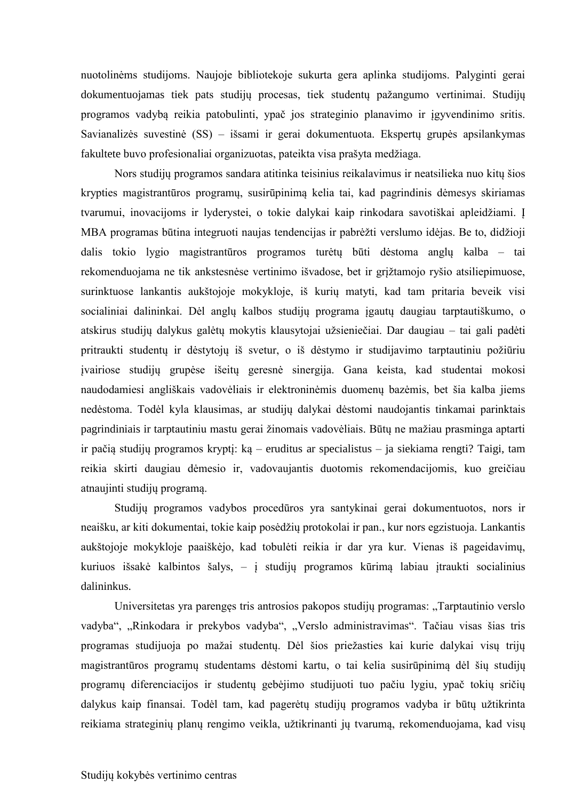nuotolinėms studijoms. Naujoje bibliotekoje sukurta gera aplinka studijoms. Palyginti gerai dokumentuojamas tiek pats studijų procesas, tiek studentų pažangumo vertinimai. Studijų programos vadybą reikia patobulinti, ypač jos strateginio planavimo ir įgyvendinimo sritis. Savianalizės suvestinė (SS) – išsami ir gerai dokumentuota. Ekspertų grupės apsilankymas fakultete buvo profesionaliai organizuotas, pateikta visa prašyta medžiaga.

Nors studijų programos sandara atitinka teisinius reikalavimus ir neatsilieka nuo kitų šios krypties magistrantūros programų, susirūpinimą kelia tai, kad pagrindinis dėmesys skiriamas tvarumui, inovacijoms ir lyderystei, o tokie dalykai kaip rinkodara savotiškai apleidžiami. Į MBA programas būtina integruoti naujas tendencijas ir pabrėžti verslumo idėjas. Be to, didžioji dalis tokio lygio magistrantūros programos turėtų būti dėstoma anglų kalba – tai rekomenduojama ne tik ankstesnėse vertinimo išvadose, bet ir grįžtamojo ryšio atsiliepimuose, surinktuose lankantis aukštojoje mokykloje, iš kurių matyti, kad tam pritaria beveik visi socialiniai dalininkai. Dėl anglų kalbos studijų programa įgautų daugiau tarptautiškumo, o atskirus studijų dalykus galėtų mokytis klausytojai užsieniečiai. Dar daugiau – tai gali padėti pritraukti studentų ir dėstytojų iš svetur, o iš dėstymo ir studijavimo tarptautiniu požiūriu įvairiose studijų grupėse išeitų geresnė sinergija. Gana keista, kad studentai mokosi naudodamiesi angliškais vadovėliais ir elektroninėmis duomenų bazėmis, bet šia kalba jiems nedėstoma. Todėl kyla klausimas, ar studijų dalykai dėstomi naudojantis tinkamai parinktais pagrindiniais ir tarptautiniu mastu gerai žinomais vadovėliais. Būtų ne mažiau prasminga aptarti ir pačią studijų programos kryptį: ką – eruditus ar specialistus – ja siekiama rengti? Taigi, tam reikia skirti daugiau dėmesio ir, vadovaujantis duotomis rekomendacijomis, kuo greičiau atnaujinti studijų programą.

Studijų programos vadybos procedūros yra santykinai gerai dokumentuotos, nors ir neaišku, ar kiti dokumentai, tokie kaip posėdžių protokolai ir pan., kur nors egzistuoja. Lankantis aukštojoje mokykloje paaiškėjo, kad tobulėti reikia ir dar yra kur. Vienas iš pageidavimų, kuriuos išsakė kalbintos šalys, – į studijų programos kūrimą labiau įtraukti socialinius dalininkus.

Universitetas yra parengęs tris antrosios pakopos studijų programas: "Tarptautinio verslo vadyba", "Rinkodara ir prekybos vadyba", "Verslo administravimas". Tačiau visas šias tris programas studijuoja po mažai studentų. Dėl šios priežasties kai kurie dalykai visų trijų magistrantūros programų studentams dėstomi kartu, o tai kelia susirūpinimą dėl šių studijų programų diferenciacijos ir studentų gebėjimo studijuoti tuo pačiu lygiu, ypač tokių sričių dalykus kaip finansai. Todėl tam, kad pagerėtų studijų programos vadyba ir būtų užtikrinta reikiama strateginių planų rengimo veikla, užtikrinanti jų tvarumą, rekomenduojama, kad visų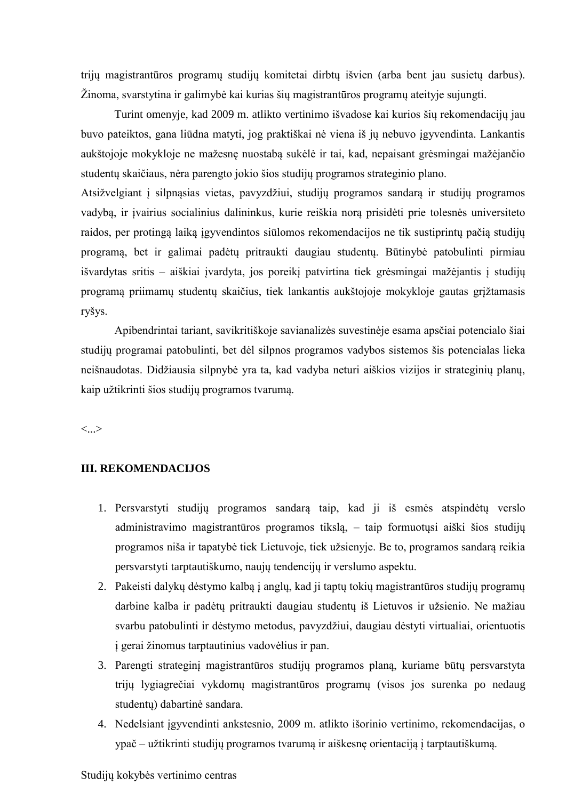trijų magistrantūros programų studijų komitetai dirbtų išvien (arba bent jau susietų darbus). Žinoma, svarstytina ir galimybė kai kurias šių magistrantūros programų ateityje sujungti.

Turint omenyje, kad 2009 m. atlikto vertinimo išvadose kai kurios šių rekomendacijų jau buvo pateiktos, gana liūdna matyti, jog praktiškai nė viena iš jų nebuvo įgyvendinta. Lankantis aukštojoje mokykloje ne mažesnę nuostabą sukėlė ir tai, kad, nepaisant grėsmingai mažėjančio studentų skaičiaus, nėra parengto jokio šios studijų programos strateginio plano.

Atsižvelgiant į silpnąsias vietas, pavyzdžiui, studijų programos sandarą ir studijų programos vadybą, ir įvairius socialinius dalininkus, kurie reiškia norą prisidėti prie tolesnės universiteto raidos, per protingą laiką įgyvendintos siūlomos rekomendacijos ne tik sustiprintų pačią studijų programą, bet ir galimai padėtų pritraukti daugiau studentų. Būtinybė patobulinti pirmiau išvardytas sritis – aiškiai įvardyta, jos poreikį patvirtina tiek grėsmingai mažėjantis į studijų programą priimamų studentų skaičius, tiek lankantis aukštojoje mokykloje gautas grįžtamasis ryšys.

Apibendrintai tariant, savikritiškoje savianalizės suvestinėje esama apsčiai potencialo šiai studijų programai patobulinti, bet dėl silpnos programos vadybos sistemos šis potencialas lieka neišnaudotas. Didžiausia silpnybė yra ta, kad vadyba neturi aiškios vizijos ir strateginių planų, kaip užtikrinti šios studijų programos tvarumą.

<...>

## **III. REKOMENDACIJOS**

- 1. Persvarstyti studijų programos sandarą taip, kad ji iš esmės atspindėtų verslo administravimo magistrantūros programos tikslą, – taip formuotųsi aiški šios studijų programos niša ir tapatybė tiek Lietuvoje, tiek užsienyje. Be to, programos sandarą reikia persvarstyti tarptautiškumo, naujų tendencijų ir verslumo aspektu.
- 2. Pakeisti dalykų dėstymo kalbą į anglų, kad ji taptų tokių magistrantūros studijų programų darbine kalba ir padėtų pritraukti daugiau studentų iš Lietuvos ir užsienio. Ne mažiau svarbu patobulinti ir dėstymo metodus, pavyzdžiui, daugiau dėstyti virtualiai, orientuotis į gerai žinomus tarptautinius vadovėlius ir pan.
- 3. Parengti strateginį magistrantūros studijų programos planą, kuriame būtų persvarstyta trijų lygiagrečiai vykdomų magistrantūros programų (visos jos surenka po nedaug studentų) dabartinė sandara.
- 4. Nedelsiant įgyvendinti ankstesnio, 2009 m. atlikto išorinio vertinimo, rekomendacijas, o ypač – užtikrinti studijų programos tvarumą ir aiškesnę orientaciją į tarptautiškumą.